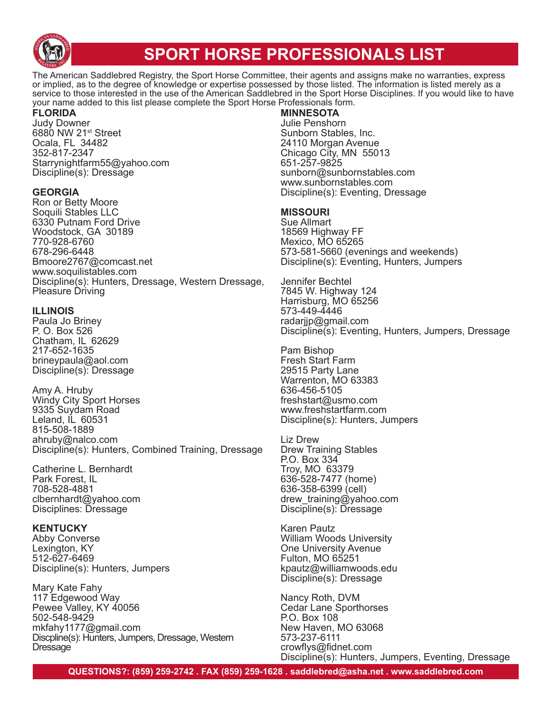

# **SPORT HORSE PROFESSIONALS LIST**

The American Saddlebred Registry, the Sport Horse Committee, their agents and assigns make no warranties, express or implied, as to the degree of knowledge or expertise possessed by those listed. The information is listed merely as a service to those interested in the use of the American Saddlebred in the Sport Horse Disciplines. If you would like to have your name added to this list please complete the Sport Horse Professionals form.

#### **FLORIDA**

Judy Downer 6880 NW 21<sup>st</sup> Street Ocala, FL 34482 352-817-2347 Starrynightfarm55@yahoo.com Discipline(s): Dressage

#### **GEORGIA**

Ron or Betty Moore Soquili Stables LLC 6330 Putnam Ford Drive Woodstock, GA 30189 770-928-6760 678-296-6448 Bmoore2767@comcast.net www.soquilistables.com Discipline(s): Hunters, Dressage, Western Dressage, Pleasure Driving

#### **ILLINOIS**

Paula Jo Briney P. O. Box 526 Chatham, IL 62629 217-652-1635 brineypaula@aol.com Discipline(s): Dressage

Amy A. Hruby Windy City Sport Horses 9335 Suydam Road Leland, IL 60531 815-508-1889 ahruby@nalco.com Discipline(s): Hunters, Combined Training, Dressage

Catherine L. Bernhardt Park Forest, IL 708-528-4881 clbernhardt@yahoo.com Disciplines: Dressage

#### **KENTUCKY**

Abby Converse Lexington, KY 512-627-6469 Discipline(s): Hunters, Jumpers

Mary Kate Fahy 117 Edgewood Way Pewee Valley, KY 40056 502-548-9429 mkfahy1177@gmail.com Discpline(s): Hunters, Jumpers, Dressage, Western Dressage

### **MINNESOTA**

Julie Penshorn Sunborn Stables, Inc. 24110 Morgan Avenue Chicago City, MN 55013 651-257-9825 sunborn@sunbornstables.com www.sunbornstables.com Discipline(s): Eventing, Dressage

#### **MISSOURI**

Sue Allmart 18569 Highway FF Mexico, MO 65265 573-581-5660 (evenings and weekends) Discipline(s): Eventing, Hunters, Jumpers

Jennifer Bechtel 7845 W. Highway 124 Harrisburg, MO 65256 573-449-4446 radarjjp@gmail.com Discipline(s): Eventing, Hunters, Jumpers, Dressage

Pam Bishop Fresh Start Farm 29515 Party Lane Warrenton, MO 63383 636-456-5105 freshstart@usmo.com www.freshstartfarm.com Discipline(s): Hunters, Jumpers

Liz Drew Drew Training Stables P.O. Box 334 Troy, MO 63379 636-528-7477 (home) 636-358-6399 (cell) drew\_training@yahoo.com Discipline(s): Dressage

Karen Pautz William Woods University One University Avenue Fulton, MO 65251 kpautz@williamwoods.edu Discipline(s): Dressage

Nancy Roth, DVM Cedar Lane Sporthorses P.O. Box 108 New Haven, MO 63068 573-237-6111 crowflys@fidnet.com Discipline(s): Hunters, Jumpers, Eventing, Dressage